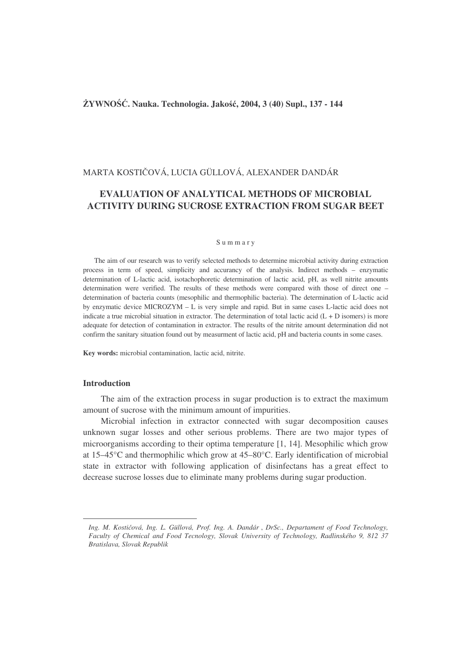# **YWNO**-**. Nauka. Technologia. Jako, 2004, 3 (40) Supl., 137 - 144**

# MARTA KOSTIČOVÁ, LUCIA GÜLLOVÁ, ALEXANDER DANDÁR

# **EVALUATION OF ANALYTICAL METHODS OF MICROBIAL ACTIVITY DURING SUCROSE EXTRACTION FROM SUGAR BEET**

#### S u m m a r y

The aim of our research was to verify selected methods to determine microbial activity during extraction process in term of speed, simplicity and accurancy of the analysis. Indirect methods – enzymatic determination of L-lactic acid, isotachophoretic determination of lactic acid, pH, as well nitrite amounts determination were verified. The results of these methods were compared with those of direct one – determination of bacteria counts (mesophilic and thermophilic bacteria). The determination of L-lactic acid by enzymatic device MICROZYM – L is very simple and rapid. But in same cases L-lactic acid does not indicate a true microbial situation in extractor. The determination of total lactic acid  $(L + D)$  isomers) is more adequate for detection of contamination in extractor. The results of the nitrite amount determination did not confirm the sanitary situation found out by measurment of lactic acid, pH and bacteria counts in some cases.

**Key words:** microbial contamination, lactic acid, nitrite.

## **Introduction**

The aim of the extraction process in sugar production is to extract the maximum amount of sucrose with the minimum amount of impurities.

Microbial infection in extractor connected with sugar decomposition causes unknown sugar losses and other serious problems. There are two major types of microorganisms according to their optima temperature [1, 14]. •Mesophilic which grow at 15–45°C and thermophilic which grow at 45–80°C. Early identification of microbial state in extractor with following application of disinfectans has a great effect to decrease sucrose losses due to eliminate many problems during sugar production.

*Ing. M. Kostiová, Ing. L. Güllová, Prof. Ing. A. Dandár* , *DrSc., Departament of Food Technology, Faculty of Chemical and Food Tecnology, Slovak University of Technology, Radlinského 9, 812 37 Bratislava, Slovak Republik*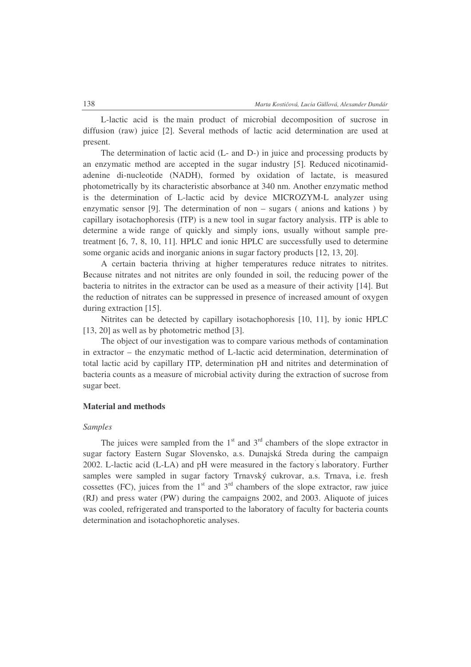L-lactic acid is the main product of microbial decomposition of sucrose in diffusion (raw) juice [2]. Several methods of lactic acid determination are used at present.

The determination of lactic acid (L- and D-) in juice and processing products by an enzymatic method are accepted in the sugar industry [5]. Reduced nicotinamidadenine di-nucleotide (NADH), formed by oxidation of lactate, is measured photometrically by its characteristic absorbance at 340 nm. Another enzymatic method is the determination of L-lactic acid by device MICROZYM-L analyzer using enzymatic sensor [9]. The determination of non  $-$  sugars (anions and kations) by capillary isotachophoresis (ITP) is a new tool in sugar factory analysis. ITP is able to determine a wide range of quickly and simply ions, usually without sample pretreatment [6, 7, 8, 10, 11]. HPLC and ionic HPLC are successfully used to determine some organic acids and inorganic anions in sugar factory products [12, 13, 20].

A certain bacteria thriving at higher temperatures reduce nitrates to nitrites. Because nitrates and not nitrites are only founded in soil, the reducing power of the bacteria to nitrites in the extractor can be used as a measure of their activity [14]. But the reduction of nitrates can be suppressed in presence of increased amount of oxygen during extraction [15].

Nitrites can be detected by capillary isotachophoresis [10, 11], by ionic HPLC [13, 20] as well as by photometric method [3].

The object of our investigation was to compare various methods of contamination in extractor – the enzymatic method of L-lactic acid determination, determination of total lactic acid by capillary ITP, determination pH and nitrites and determination of bacteria counts as a measure of microbial activity during the extraction of sucrose from sugar beet.

### **Material and methods**

#### *Samples*

The juices were sampled from the  $1<sup>st</sup>$  and  $3<sup>rd</sup>$  chambers of the slope extractor in sugar factory Eastern Sugar Slovensko, a.s. Dunajská Streda during the campaign 2002. L-lactic acid (L-LA) and pH were measured in the factory s laboratory. Further samples were sampled in sugar factory Trnavský cukrovar, a.s. Trnava, i.e. fresh cossettes (FC), juices from the  $1<sup>st</sup>$  and  $3<sup>rd</sup>$  chambers of the slope extractor, raw juice (RJ) and press water (PW) during the campaigns 2002, and 2003. Aliquote of juices was cooled, refrigerated and transported to the laboratory of faculty for bacteria counts determination and isotachophoretic analyses.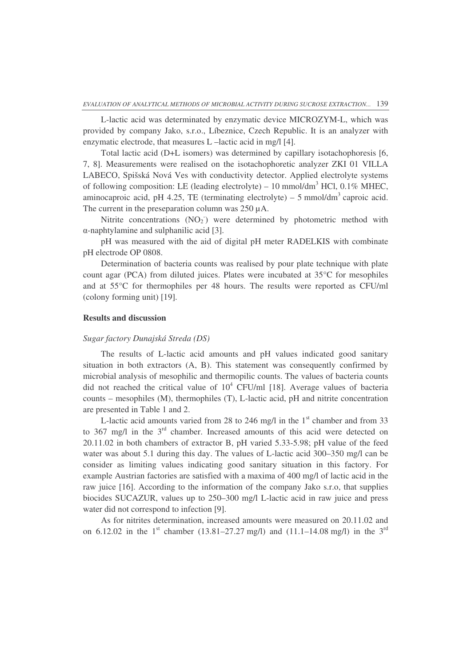L-lactic acid was determinated by enzymatic device MICROZYM-L, which was provided by company Jako, s.r.o., Líbeznice, Czech Republic. It is an analyzer with enzymatic electrode, that measures L –lactic acid in mg/l [4].

Total lactic acid (D+L isomers) was determined by capillary isotachophoresis [6, 7, 8]. Measurements were realised on the isotachophoretic analyzer ZKI 01 VILLA LABECO, Spišská Nová Ves with conductivity detector. Applied electrolyte systems of following composition: LE (leading electrolyte) – 10 mmol/dm<sup>3</sup> HCl, 0.1% MHEC, aminocaproic acid, pH 4.25, TE (terminating electrolyte)  $-5$  mmol/dm<sup>3</sup> caproic acid. The current in the preseparation column was 250  $\mu$ A.

Nitrite concentrations  $(NO<sub>2</sub>)$  were determined by photometric method with --naphtylamine and sulphanilic acid [3].

pH was measured with the aid of digital pH meter RADELKIS with combinate pH electrode OP 0808.

Determination of bacteria counts was realised by pour plate technique with plate count agar (PCA) from diluted juices. Plates were incubated at 35°C for mesophiles and at 55°C for thermophiles per 48 hours. The results were reported as CFU/ml (colony forming unit) [19].

### **Results and discussion**

## *Sugar factory Dunajská Streda (DS)*

The results of L-lactic acid amounts and pH values indicated good sanitary situation in both extractors (A, B). This statement was consequently confirmed by microbial analysis of mesophilic and thermopilic counts. The values of bacteria counts did not reached the critical value of  $10^4$  CFU/ml [18]. Average values of bacteria counts – mesophiles (M), thermophiles (T), L-lactic acid, pH and nitrite concentration are presented in Table 1 and 2.

L-lactic acid amounts varied from 28 to 246 mg/l in the  $1<sup>st</sup>$  chamber and from 33 to 367 mg/l in the  $3<sup>rd</sup>$  chamber. Increased amounts of this acid were detected on 20.11.02 in both chambers of extractor B, pH varied 5.33-5.98; pH value of the feed water was about 5.1 during this day. The values of L-lactic acid 300–350 mg/l can be consider as limiting values indicating good sanitary situation in this factory. For example Austrian factories are satisfied with a maxima of 400 mg/l of lactic acid in the raw juice [16]. According to the information of the company Jako s.r.o, that supplies biocides SUCAZUR, values up to 250–300 mg/l L-lactic acid in raw juice and press water did not correspond to infection [9].

As for nitrites determination, increased amounts were measured on 20.11.02 and on 6.12.02 in the 1<sup>st</sup> chamber (13.81–27.27 mg/l) and (11.1–14.08 mg/l) in the 3<sup>rd</sup>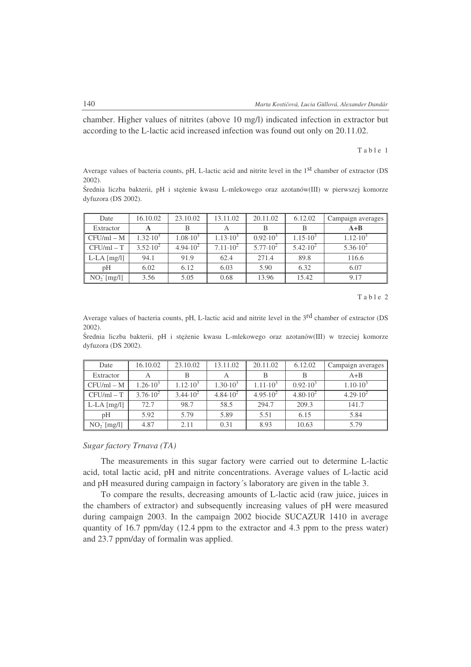chamber. Higher values of nitrites (above 10 mg/l) indicated infection in extractor but according to the L-lactic acid increased infection was found out only on 20.11.02.

Table 1

Average values of bacteria counts, pH, L-lactic acid and nitrite level in the 1<sup>st</sup> chamber of extractor (DS 2002).

Średnia liczba bakterii, pH i steżenie kwasu L-mlekowego oraz azotanów(III) w pierwszej komorze dyfuzora (DS 2002).

| Date          | 16.10.02            | 23.10.02            | 13.11.02            | 20.11.02            | 6.12.02             | Campaign averages   |
|---------------|---------------------|---------------------|---------------------|---------------------|---------------------|---------------------|
| Extractor     |                     |                     |                     |                     |                     | $A + B$             |
| $CFU/ml - M$  | $1.32 \cdot 10^3$   | $1.08 \cdot 10^{3}$ | $1.13 \cdot 10^{3}$ | $0.92 \cdot 10^{3}$ | $1.15 \cdot 10^{3}$ | $1.12 \cdot 10^3$   |
| $CFU/ml - T$  | $3.52 \cdot 10^{2}$ | $4.94 \cdot 10^{2}$ | $7.11 \cdot 10^2$   | $5.77 \cdot 10^{2}$ | $5.42 \cdot 10^{2}$ | $5.36 \cdot 10^{2}$ |
| $L-LA$ [mg/l] | 94.1                | 91.9                | 62.4                | 271.4               | 89.8                | 116.6               |
| pH            | 6.02                | 6.12                | 6.03                | 5.90                | 6.32                | 6.07                |
| $NO2$ [mg/l]  | 3.56                | 5.05                | 0.68                | 13.96               | 15.42               | 9.17                |

T a b l e 2

Average values of bacteria counts, pH, L-lactic acid and nitrite level in the 3<sup>rd</sup> chamber of extractor (DS 2002).

Średnia liczba bakterii, pH i stężenie kwasu L-mlekowego oraz azotanów(III) w trzeciej komorze dyfuzora (DS 2002).

| Date                          | 16.10.02            | 23.10.02            | 13.11.02            | 20.11.02            | 6.12.02             | Campaign averages   |
|-------------------------------|---------------------|---------------------|---------------------|---------------------|---------------------|---------------------|
| Extractor                     | А                   |                     |                     |                     | B                   | $A + B$             |
| $CFU/ml - M$                  | $1.26 \cdot 10^{3}$ | $1.12 \cdot 10^{3}$ | $1.30 \cdot 10^{3}$ | $1.11 \cdot 10^{3}$ | $0.92 \cdot 10^{3}$ | $1.10 \cdot 10^{3}$ |
| $CFU/ml - T$                  | $3.76 \cdot 10^{2}$ | $3.44 \cdot 10^{2}$ | $4.84 \cdot 10^{2}$ | $4.95 \cdot 10^{2}$ | $4.80 \cdot 10^{2}$ | $4.29 \cdot 10^{2}$ |
| $\mathsf{L}\text{-LA}$ [mg/l] | 72.7                | 98.7                | 58.5                | 294.7               | 209.3               | 141.7               |
| pH                            | 5.92                | 5.79                | 5.89                | 5.51                | 6.15                | 5.84                |
| $NO2$ [mg/l]                  | 4.87                | 2.11                | 0.31                | 8.93                | 10.63               | 5.79                |

# *Sugar factory Trnava (TA)*

The measurements in this sugar factory were carried out to determine L-lactic acid, total lactic acid, pH and nitrite concentrations. Average values of L-lactic acid and pH measured during campaign in factory´s laboratory are given in the table 3.

To compare the results, decreasing amounts of L-lactic acid (raw juice, juices in the chambers of extractor) and subsequently increasing values of pH were measured during campaign 2003. In the campaign 2002 biocide SUCAZUR 1410 in average quantity of 16.7 ppm/day (12.4 ppm to the extractor and 4.3 ppm to the press water) and 23.7 ppm/day of formalin was applied.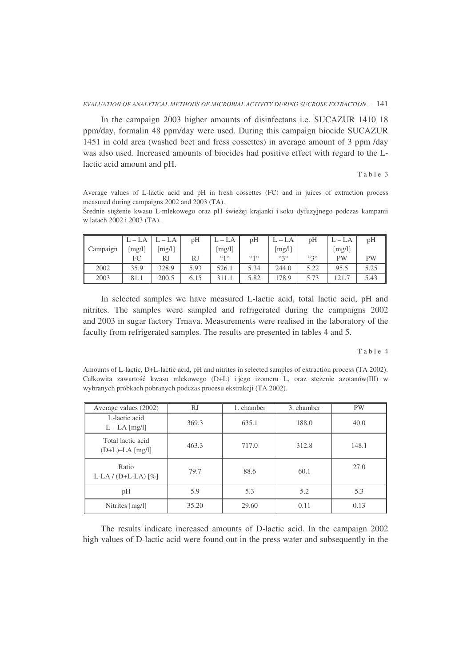In the campaign 2003 higher amounts of disinfectans i.e. SUCAZUR 1410 18 ppm/day, formalin 48 ppm/day were used. During this campaign biocide SUCAZUR 1451 in cold area (washed beet and fress cossettes) in average amount of 3 ppm /day was also used. Increased amounts of biocides had positive effect with regard to the Llactic acid amount and pH.

Table 3

Average values of L-lactic acid and pH in fresh cossettes (FC) and in juices of extraction process measured during campaigns 2002 and 2003 (TA).

Średnie stężenie kwasu L-mlekowego oraz pH świeżej krajanki i soku dyfuzyjnego podczas kampanii w latach 2002 i 2003 (TA).

|          | $L - LA$   | $-LA$  | pH   | $L - LA$ | pH    | $-LA$  | pH                  | $L - LA$ | pH        |
|----------|------------|--------|------|----------|-------|--------|---------------------|----------|-----------|
| Campaign | [ $mg/l$ ] | [mg/l] |      | [mg/l]   |       | [mg/l] |                     | [mg/l]   |           |
|          | FC         | RJ     | RJ   | 66166    | 66166 | 626    | $\mathfrak{so}_{3}$ | PW       | <b>PW</b> |
| 2002     | 35.9       | 328.9  | 5.93 | 526.1    | 5.34  | 244.0  | 5.22                | 95.5     | 5.25      |
| 2003     | 81.1       | 200.5  | 6.15 | 311.1    | 5.82  | 178.9  | 5.73                | 121.7    | 5.43      |

In selected samples we have measured L-lactic acid, total lactic acid, pH and nitrites. The samples were sampled and refrigerated during the campaigns 2002 and 2003 in sugar factory Trnava. Measurements were realised in the laboratory of the faculty from refrigerated samples. The results are presented in tables 4 and 5.

Table 4

Amounts of L-lactic, D+L-lactic acid, pH and nitrites in selected samples of extraction process (TA 2002). Całkowita zawartość kwasu mlekowego (D+L) i jego izomeru L, oraz stężenie azotanów(III) w wybranych próbkach pobranych podczas procesu ekstrakcji (TA 2002).

| Average values (2002)                  | <b>RJ</b> | 1. chamber | 3. chamber | <b>PW</b> |
|----------------------------------------|-----------|------------|------------|-----------|
| L-lactic acid<br>$L - LA [mg/l]$       | 369.3     | 635.1      | 188.0      | 40.0      |
| Total lactic acid<br>$(D+L)-LA$ [mg/l] | 463.3     | 717.0      | 312.8      | 148.1     |
| Ratio<br>L-LA $/(D+L-LA)$ $[\%]$       | 79.7      | 88.6       | 60.1       | 27.0      |
| pH                                     | 5.9       | 5.3        | 5.2        | 5.3       |
| Nitrites [mg/l]                        | 35.20     | 29.60      | 0.11       | 0.13      |

The results indicate increased amounts of D-lactic acid. In the campaign 2002 high values of D-lactic acid were found out in the press water and subsequently in the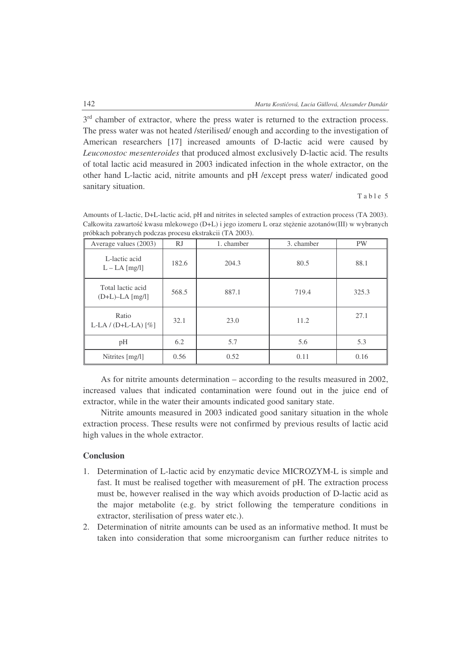3<sup>rd</sup> chamber of extractor, where the press water is returned to the extraction process. The press water was not heated /sterilised/ enough and according to the investigation of American researchers [17] increased amounts of D-lactic acid were caused by *Leuconostoc mesenteroides* that produced almost exclusively D-lactic acid. The results of total lactic acid measured in 2003 indicated infection in the whole extractor, on the other hand L-lactic acid, nitrite amounts and pH /except press water/ indicated good sanitary situation.

Table 5

| problacii pobranych podczas procesu eksualch (TA 2003).<br>Average values (2003) | <b>RJ</b> | 1. chamber | 3. chamber | <b>PW</b> |
|----------------------------------------------------------------------------------|-----------|------------|------------|-----------|
| L-lactic acid<br>$L - LA$ [mg/l]                                                 | 182.6     | 204.3      | 80.5       | 88.1      |
| Total lactic acid<br>$(D+L)-LA$ [mg/l]                                           | 568.5     | 887.1      | 719.4      | 325.3     |
| Ratio<br>$L-LA / (D+L-LA)$ [%]                                                   | 32.1      | 23.0       | 11.2       | 27.1      |
| pH                                                                               | 6.2       | 5.7        | 5.6        | 5.3       |
| Nitrites [mg/l]                                                                  | 0.56      | 0.52       | 0.11       | 0.16      |

Amounts of L-lactic, D+L-lactic acid, pH and nitrites in selected samples of extraction process (TA 2003). Całkowita zawartość kwasu mlekowego (D+L) i jego izomeru L oraz stężenie azotanów(III) w wybranych próbkach pobranych podczas procesu ekstrakcii (TA 2003).

As for nitrite amounts determination – according to the results measured in 2002, increased values that indicated contamination were found out in the juice end of extractor, while in the water their amounts indicated good sanitary state.

Nitrite amounts measured in 2003 indicated good sanitary situation in the whole extraction process. These results were not confirmed by previous results of lactic acid high values in the whole extractor.

## **Conclusion**

- 1. Determination of L-lactic acid by enzymatic device MICROZYM-L is simple and fast. It must be realised together with measurement of pH. The extraction process must be, however realised in the way which avoids production of D-lactic acid as the major metabolite (e.g. by strict following the temperature conditions in extractor, sterilisation of press water etc.).
- 2. Determination of nitrite amounts can be used as an informative method. It must be taken into consideration that some microorganism can further reduce nitrites to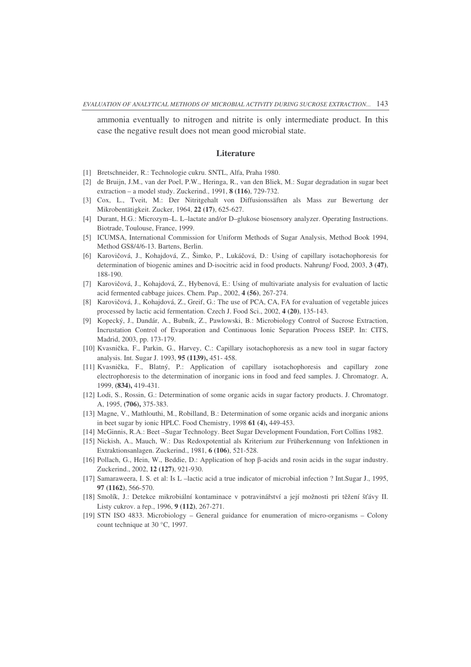ammonia eventually to nitrogen and nitrite is only intermediate product. In this case the negative result does not mean good microbial state.

#### **Literature**

- [1] Bretschneider, R.: Technologie cukru. SNTL, Alfa, Praha 1980.
- [2] de Bruijn, J.M., van der Poel, P.W., Heringa, R., van den Bliek, M.: Sugar degradation in sugar beet extraction – a model study. Zuckerind., 1991, **8 (116)**, 729-732.
- [3] Cox, L., Tveit, M.: Der Nitritgehalt von Diffusionssäften als Mass zur Bewertung der Mikrobentätigkeit. Zucker, 1964, **22 (17)**, 625-627.
- [4] Durant, H.G.: Microzym–L. L–lactate and/or D–glukose biosensory analyzer. Operating Instructions. Biotrade, Toulouse, France, 1999.
- [5] ICUMSA, International Commission for Uniform Methods of Sugar Analysis, Method Book 1994, Method GS8/4/6-13. Bartens, Berlin.
- [6] Karovičová, J., Kohajdová, Z., Šimko, P., Lukáčová, D.: Using of capillary isotachophoresis for determination of biogenic amines and D-isocitric acid in food products. Nahrung/ Food, 2003, **3 (47)**, 188-190.
- [7] Karovičová, J., Kohajdová, Z., Hybenová, E.: Using of multivariate analysis for evaluation of lactic acid fermented cabbage juices. Chem. Pap., 2002, **4 (56)**, 267-274.
- [8] Karovičová, J., Kohajdová, Z., Greif, G.: The use of PCA, CA, FA for evaluation of vegetable juices processed by lactic acid fermentation. Czech J. Food Sci., 2002, **4 (20)**, 135-143.
- [9] Kopecký, J., Dandár, A., Bubník, Z., Pawlowski, B.: Microbiology Control of Sucrose Extraction, Incrustation Control of Evaporation and Continuous Ionic Separation Process ISEP. In: CITS, Madrid, 2003, pp. 173-179.
- [10] Kvasnička, F., Parkin, G., Harvey, C.: Capillary isotachophoresis as a new tool in sugar factory analysis. Int. Sugar J. 1993, **95 (1139),** 451- 458.
- [11] Kvasnika, F., Blatný, P.: Application of capillary isotachophoresis and capillary zone electrophoresis to the determination of inorganic ions in food and feed samples. J. Chromatogr. A, 1999, **(834),** 419-431.
- [12] Lodi, S., Rossin, G.: Determination of some organic acids in sugar factory products. J. Chromatogr. A, 1995, **(706),** 375-383.
- [13] Magne, V., Mathlouthi, M., Robilland, B.: Determination of some organic acids and inorganic anions in beet sugar by ionic HPLC. Food Chemistry, 1998 **61 (4),** 449-453.
- [14] McGinnis, R.A.: Beet –Sugar Technology. Beet Sugar Development Foundation, Fort Collins 1982.
- [15] Nickish, A., Mauch, W.: Das Redoxpotential als Kriterium zur Früherkennung von Infektionen in Extraktionsanlagen. Zuckerind., 1981, **6 (106)**, 521-528.
- [16] Pollach, G., Hein, W., Beddie, D.: Application of hop  $\beta$ -acids and rosin acids in the sugar industry. Zuckerind., 2002, **12 (127)**, 921-930.
- [17] Samaraweera, I. S. et al: Is L –lactic acid a true indicator of microbial infection ? Int.Sugar J., 1995, **97 (1162)**, 566-570.
- [18] Smolík, J.: Detekce mikrobiální kontaminace v potraviná ství a její možnosti pri tžení šávy II. Listy cukrov. a ep., 1996, **9 (112)**, 267-271.
- [19] STN ISO 4833. Microbiology General guidance for enumeration of micro-organisms Colony count technique at 30 °C, 1997.